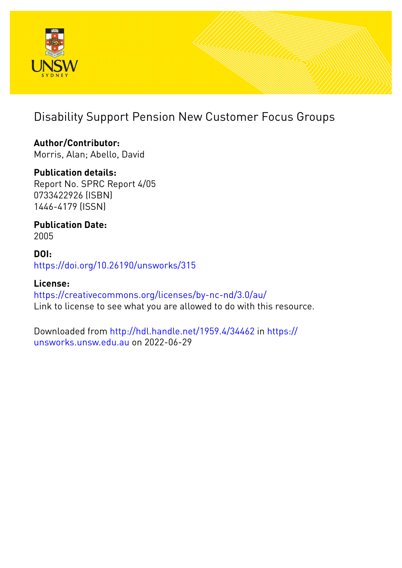

# Disability Support Pension New Customer Focus Groups

**Author/Contributor:** Morris, Alan; Abello, David

**Publication details:** Report No. SPRC Report 4/05 0733422926 (ISBN) 1446-4179 (ISSN)

**Publication Date:** 2005

**DOI:** [https://doi.org/10.26190/unsworks/315](http://dx.doi.org/https://doi.org/10.26190/unsworks/315)

**License:** <https://creativecommons.org/licenses/by-nc-nd/3.0/au/> Link to license to see what you are allowed to do with this resource.

Downloaded from <http://hdl.handle.net/1959.4/34462> in [https://](https://unsworks.unsw.edu.au) [unsworks.unsw.edu.au](https://unsworks.unsw.edu.au) on 2022-06-29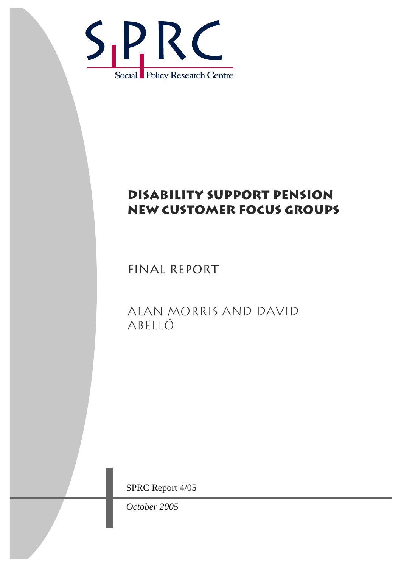

# DISABILITY SUPPORT PENSION NEW CUSTOMER FOCUS GROUPS

FINAL REPORT

ALAN MORRIS AND DAVID Abelló

SPRC Report 4/05

*October 2005*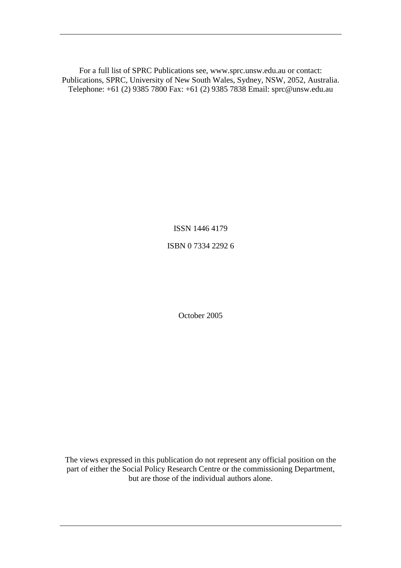For a full list of SPRC Publications see, www.sprc.unsw.edu.au or contact: Publications, SPRC, University of New South Wales, Sydney, NSW, 2052, Australia. Telephone: +61 (2) 9385 7800 Fax: +61 (2) 9385 7838 Email: sprc@unsw.edu.au

ISSN 1446 4179

ISBN 0 7334 2292 6

October 2005

The views expressed in this publication do not represent any official position on the part of either the Social Policy Research Centre or the commissioning Department, but are those of the individual authors alone.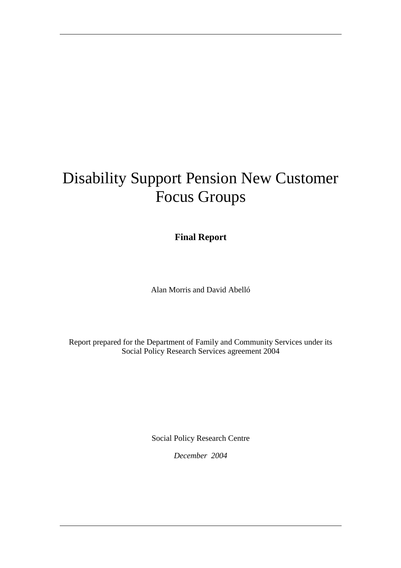# Disability Support Pension New Customer Focus Groups

**Final Report** 

Alan Morris and David Abelló

Report prepared for the Department of Family and Community Services under its Social Policy Research Services agreement 2004

Social Policy Research Centre

*December 2004*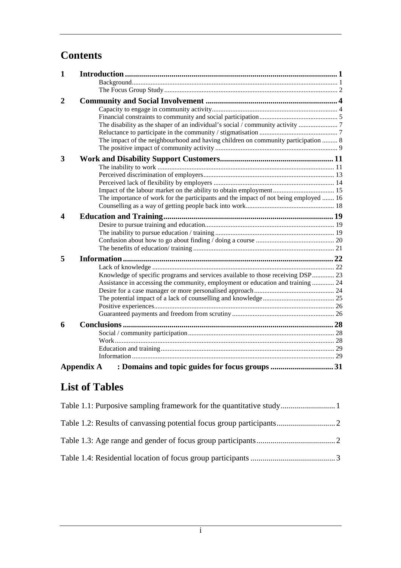# **Contents**

| 1                     |                                                                                      |  |
|-----------------------|--------------------------------------------------------------------------------------|--|
|                       |                                                                                      |  |
|                       |                                                                                      |  |
| $\mathbf{2}$          |                                                                                      |  |
|                       |                                                                                      |  |
|                       |                                                                                      |  |
|                       |                                                                                      |  |
|                       |                                                                                      |  |
|                       | The impact of the neighbourhood and having children on community participation  8    |  |
|                       |                                                                                      |  |
| 3                     |                                                                                      |  |
|                       |                                                                                      |  |
|                       |                                                                                      |  |
|                       |                                                                                      |  |
|                       |                                                                                      |  |
|                       | The importance of work for the participants and the impact of not being employed  16 |  |
|                       |                                                                                      |  |
| $\boldsymbol{\Delta}$ |                                                                                      |  |
|                       |                                                                                      |  |
|                       |                                                                                      |  |
|                       |                                                                                      |  |
|                       |                                                                                      |  |
| 5                     |                                                                                      |  |
|                       |                                                                                      |  |
|                       | Knowledge of specific programs and services available to those receiving DSP 23      |  |
|                       | Assistance in accessing the community, employment or education and training  24      |  |
|                       |                                                                                      |  |
|                       |                                                                                      |  |
|                       |                                                                                      |  |
|                       |                                                                                      |  |
| 6                     |                                                                                      |  |
|                       |                                                                                      |  |
|                       |                                                                                      |  |
|                       |                                                                                      |  |
|                       |                                                                                      |  |
|                       | : Domains and topic guides for focus groups 31<br>Appendix A                         |  |

# **List of Tables**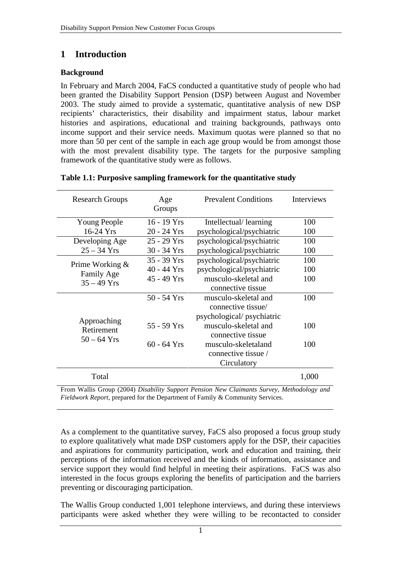# **1 Introduction**

#### **Background**

In February and March 2004, FaCS conducted a quantitative study of people who had been granted the Disability Support Pension (DSP) between August and November 2003. The study aimed to provide a systematic, quantitative analysis of new DSP recipients' characteristics, their disability and impairment status, labour market histories and aspirations, educational and training backgrounds, pathways onto income support and their service needs. Maximum quotas were planned so that no more than 50 per cent of the sample in each age group would be from amongst those with the most prevalent disability type. The targets for the purposive sampling framework of the quantitative study were as follows.

| <b>Research Groups</b>        | Age<br>Groups | <b>Prevalent Conditions</b> | Interviews |
|-------------------------------|---------------|-----------------------------|------------|
| Young People                  | $16 - 19$ Yrs | Intellectual/learning       | 100        |
| $16-24$ Yrs                   | $20 - 24$ Yrs | psychological/psychiatric   | 100        |
| Developing Age                | $25 - 29$ Yrs | psychological/psychiatric   | 100        |
| $25 - 34$ Yrs                 | $30 - 34$ Yrs | psychological/psychiatric   | 100        |
|                               | $35 - 39$ Yrs | psychological/psychiatric   | 100        |
| Prime Working &<br>Family Age | $40 - 44$ Yrs | psychological/psychiatric   | 100        |
| $35 - 49$ Yrs                 | $45 - 49$ Yrs | musculo-skeletal and        | 100        |
|                               |               | connective tissue           |            |
|                               | 50 - 54 Yrs   | musculo-skeletal and        | 100        |
|                               |               | connective tissue/          |            |
| Approaching                   |               | psychological/psychiatric   |            |
| Retirement                    | 55 - 59 Yrs   | musculo-skeletal and        | 100        |
| $50 - 64$ Yrs                 |               | connective tissue           |            |
|                               | $60 - 64$ Yrs | musculo-skeletaland         | 100        |
|                               |               | connective tissue /         |            |
|                               |               | Circulatory                 |            |
| Total                         |               |                             | 1,000      |

#### **Table 1.1: Purposive sampling framework for the quantitative study**

From Wallis Group (2004) *Disability Support Pension New Claimants Survey*, *Methodology and Fieldwork Report*, prepared for the Department of Family & Community Services.

As a complement to the quantitative survey, FaCS also proposed a focus group study to explore qualitatively what made DSP customers apply for the DSP, their capacities and aspirations for community participation, work and education and training, their perceptions of the information received and the kinds of information, assistance and service support they would find helpful in meeting their aspirations. FaCS was also interested in the focus groups exploring the benefits of participation and the barriers preventing or discouraging participation.

The Wallis Group conducted 1,001 telephone interviews, and during these interviews participants were asked whether they were willing to be recontacted to consider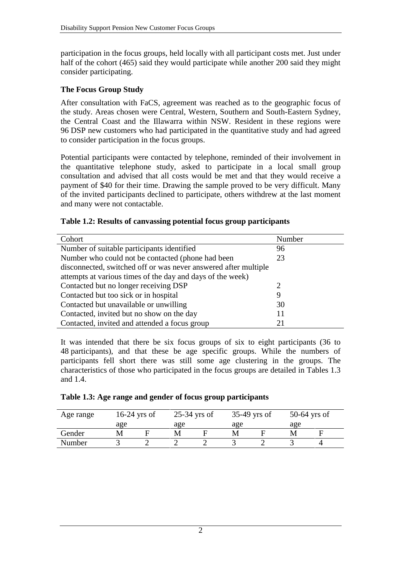participation in the focus groups, held locally with all participant costs met. Just under half of the cohort (465) said they would participate while another 200 said they might consider participating.

#### **The Focus Group Study**

After consultation with FaCS, agreement was reached as to the geographic focus of the study. Areas chosen were Central, Western, Southern and South-Eastern Sydney, the Central Coast and the Illawarra within NSW. Resident in these regions were 96 DSP new customers who had participated in the quantitative study and had agreed to consider participation in the focus groups.

Potential participants were contacted by telephone, reminded of their involvement in the quantitative telephone study, asked to participate in a local small group consultation and advised that all costs would be met and that they would receive a payment of \$40 for their time. Drawing the sample proved to be very difficult. Many of the invited participants declined to participate, others withdrew at the last moment and many were not contactable.

#### **Table 1.2: Results of canvassing potential focus group participants**

| Cohort                                                          | Number                |
|-----------------------------------------------------------------|-----------------------|
| Number of suitable participants identified                      | 96                    |
| Number who could not be contacted (phone had been               | 23                    |
| disconnected, switched off or was never answered after multiple |                       |
| attempts at various times of the day and days of the week)      |                       |
| Contacted but no longer receiving DSP                           | $\mathcal{D}_{\cdot}$ |
| Contacted but too sick or in hospital                           | 9                     |
| Contacted but unavailable or unwilling                          | 30                    |
| Contacted, invited but no show on the day                       | 11                    |
| Contacted, invited and attended a focus group                   | 21                    |

It was intended that there be six focus groups of six to eight participants (36 to 48 participants), and that these be age specific groups. While the numbers of participants fell short there was still some age clustering in the groups. The characteristics of those who participated in the focus groups are detailed in Tables 1.3 and 1.4.

|  |  | Table 1.3: Age range and gender of focus group participants |
|--|--|-------------------------------------------------------------|
|  |  |                                                             |

| Age range | $16-24$ yrs of |  | $25-34$ yrs of |  | $35-49$ yrs of |  | $50-64$ yrs of |  |
|-----------|----------------|--|----------------|--|----------------|--|----------------|--|
|           | age            |  | age            |  | age            |  | age            |  |
| Gender    |                |  |                |  |                |  |                |  |
| Number    |                |  |                |  |                |  |                |  |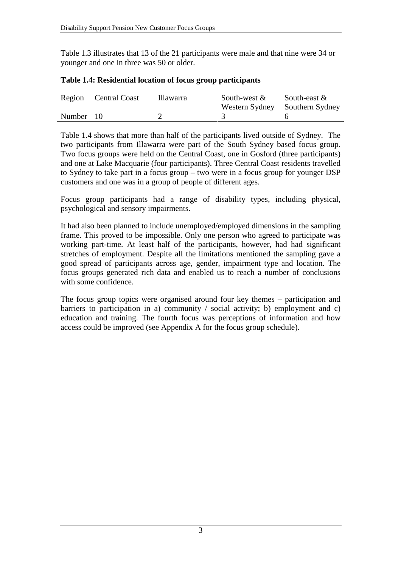Table 1.3 illustrates that 13 of the 21 participants were male and that nine were 34 or younger and one in three was 50 or older.

|           | Region Central Coast | Illawarra | South-west $\&$ | South-east $\&$                |
|-----------|----------------------|-----------|-----------------|--------------------------------|
|           |                      |           |                 | Western Sydney Southern Sydney |
| Number 10 |                      |           |                 |                                |

|  |  | Table 1.4: Residential location of focus group participants |
|--|--|-------------------------------------------------------------|
|  |  |                                                             |

Table 1.4 shows that more than half of the participants lived outside of Sydney. The two participants from Illawarra were part of the South Sydney based focus group. Two focus groups were held on the Central Coast, one in Gosford (three participants) and one at Lake Macquarie (four participants). Three Central Coast residents travelled to Sydney to take part in a focus group – two were in a focus group for younger DSP customers and one was in a group of people of different ages.

Focus group participants had a range of disability types, including physical, psychological and sensory impairments.

It had also been planned to include unemployed/employed dimensions in the sampling frame. This proved to be impossible. Only one person who agreed to participate was working part-time. At least half of the participants, however, had had significant stretches of employment. Despite all the limitations mentioned the sampling gave a good spread of participants across age, gender, impairment type and location. The focus groups generated rich data and enabled us to reach a number of conclusions with some confidence.

The focus group topics were organised around four key themes – participation and barriers to participation in a) community  $\ell$  social activity; b) employment and c) education and training. The fourth focus was perceptions of information and how access could be improved (see Appendix A for the focus group schedule).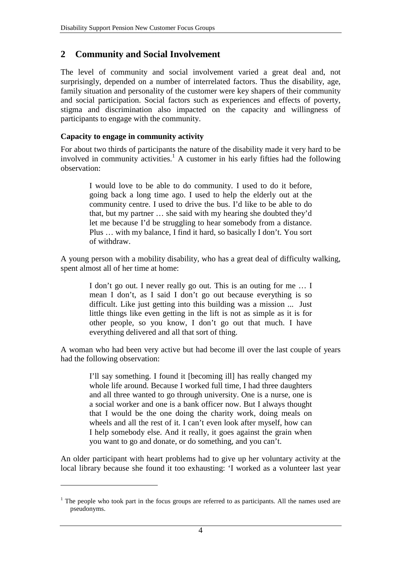## **2 Community and Social Involvement**

The level of community and social involvement varied a great deal and, not surprisingly, depended on a number of interrelated factors. Thus the disability, age, family situation and personality of the customer were key shapers of their community and social participation. Social factors such as experiences and effects of poverty, stigma and discrimination also impacted on the capacity and willingness of participants to engage with the community.

#### **Capacity to engage in community activity**

 $\overline{a}$ 

For about two thirds of participants the nature of the disability made it very hard to be involved in community activities.<sup>1</sup> A customer in his early fifties had the following observation:

> I would love to be able to do community. I used to do it before, going back a long time ago. I used to help the elderly out at the community centre. I used to drive the bus. I'd like to be able to do that, but my partner … she said with my hearing she doubted they'd let me because I'd be struggling to hear somebody from a distance. Plus … with my balance, I find it hard, so basically I don't. You sort of withdraw.

A young person with a mobility disability, who has a great deal of difficulty walking, spent almost all of her time at home:

> I don't go out. I never really go out. This is an outing for me … I mean I don't, as I said I don't go out because everything is so difficult. Like just getting into this building was a mission ... Just little things like even getting in the lift is not as simple as it is for other people, so you know, I don't go out that much. I have everything delivered and all that sort of thing.

A woman who had been very active but had become ill over the last couple of years had the following observation:

> I'll say something. I found it [becoming ill] has really changed my whole life around. Because I worked full time, I had three daughters and all three wanted to go through university. One is a nurse, one is a social worker and one is a bank officer now. But I always thought that I would be the one doing the charity work, doing meals on wheels and all the rest of it. I can't even look after myself, how can I help somebody else. And it really, it goes against the grain when you want to go and donate, or do something, and you can't.

An older participant with heart problems had to give up her voluntary activity at the local library because she found it too exhausting: 'I worked as a volunteer last year

<sup>&</sup>lt;sup>1</sup> The people who took part in the focus groups are referred to as participants. All the names used are pseudonyms.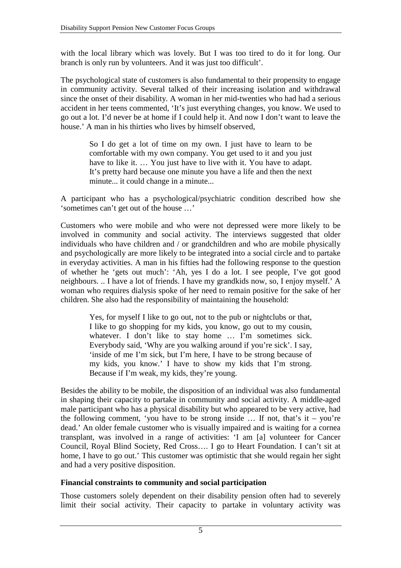with the local library which was lovely. But I was too tired to do it for long. Our branch is only run by volunteers. And it was just too difficult'.

The psychological state of customers is also fundamental to their propensity to engage in community activity. Several talked of their increasing isolation and withdrawal since the onset of their disability. A woman in her mid-twenties who had had a serious accident in her teens commented, 'It's just everything changes, you know. We used to go out a lot. I'd never be at home if I could help it. And now I don't want to leave the house.' A man in his thirties who lives by himself observed,

> So I do get a lot of time on my own. I just have to learn to be comfortable with my own company. You get used to it and you just have to like it. ... You just have to live with it. You have to adapt. It's pretty hard because one minute you have a life and then the next minute... it could change in a minute...

A participant who has a psychological/psychiatric condition described how she 'sometimes can't get out of the house …'

Customers who were mobile and who were not depressed were more likely to be involved in community and social activity. The interviews suggested that older individuals who have children and / or grandchildren and who are mobile physically and psychologically are more likely to be integrated into a social circle and to partake in everyday activities. A man in his fifties had the following response to the question of whether he 'gets out much': 'Ah, yes I do a lot. I see people, I've got good neighbours. .. I have a lot of friends. I have my grandkids now, so, I enjoy myself.' A woman who requires dialysis spoke of her need to remain positive for the sake of her children. She also had the responsibility of maintaining the household:

> Yes, for myself I like to go out, not to the pub or nightclubs or that, I like to go shopping for my kids, you know, go out to my cousin, whatever. I don't like to stay home ... I'm sometimes sick. Everybody said, 'Why are you walking around if you're sick'. I say, 'inside of me I'm sick, but I'm here, I have to be strong because of my kids, you know.' I have to show my kids that I'm strong. Because if I'm weak, my kids, they're young.

Besides the ability to be mobile, the disposition of an individual was also fundamental in shaping their capacity to partake in community and social activity. A middle-aged male participant who has a physical disability but who appeared to be very active, had the following comment, 'you have to be strong inside  $\ldots$  If not, that's it – you're dead.' An older female customer who is visually impaired and is waiting for a cornea transplant, was involved in a range of activities: 'I am [a] volunteer for Cancer Council, Royal Blind Society, Red Cross…. I go to Heart Foundation. I can't sit at home, I have to go out.' This customer was optimistic that she would regain her sight and had a very positive disposition.

#### **Financial constraints to community and social participation**

Those customers solely dependent on their disability pension often had to severely limit their social activity. Their capacity to partake in voluntary activity was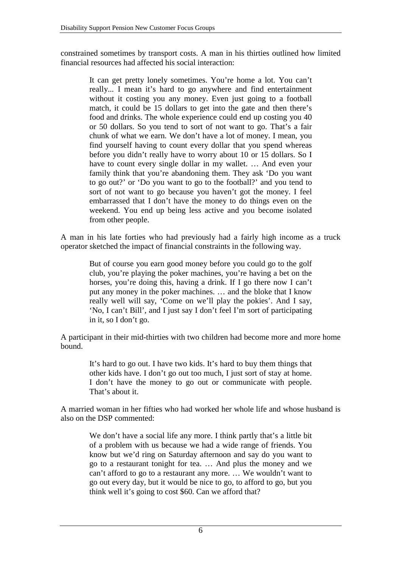constrained sometimes by transport costs. A man in his thirties outlined how limited financial resources had affected his social interaction:

> It can get pretty lonely sometimes. You're home a lot. You can't really... I mean it's hard to go anywhere and find entertainment without it costing you any money. Even just going to a football match, it could be 15 dollars to get into the gate and then there's food and drinks. The whole experience could end up costing you 40 or 50 dollars. So you tend to sort of not want to go. That's a fair chunk of what we earn. We don't have a lot of money. I mean, you find yourself having to count every dollar that you spend whereas before you didn't really have to worry about 10 or 15 dollars. So I have to count every single dollar in my wallet. … And even your family think that you're abandoning them. They ask 'Do you want to go out?' or 'Do you want to go to the football?' and you tend to sort of not want to go because you haven't got the money. I feel embarrassed that I don't have the money to do things even on the weekend. You end up being less active and you become isolated from other people.

A man in his late forties who had previously had a fairly high income as a truck operator sketched the impact of financial constraints in the following way.

> But of course you earn good money before you could go to the golf club, you're playing the poker machines, you're having a bet on the horses, you're doing this, having a drink. If I go there now I can't put any money in the poker machines. … and the bloke that I know really well will say, 'Come on we'll play the pokies'. And I say, 'No, I can't Bill', and I just say I don't feel I'm sort of participating in it, so I don't go.

A participant in their mid-thirties with two children had become more and more home bound.

> It's hard to go out. I have two kids. It's hard to buy them things that other kids have. I don't go out too much, I just sort of stay at home. I don't have the money to go out or communicate with people. That's about it.

A married woman in her fifties who had worked her whole life and whose husband is also on the DSP commented:

> We don't have a social life any more. I think partly that's a little bit of a problem with us because we had a wide range of friends. You know but we'd ring on Saturday afternoon and say do you want to go to a restaurant tonight for tea. … And plus the money and we can't afford to go to a restaurant any more. … We wouldn't want to go out every day, but it would be nice to go, to afford to go, but you think well it's going to cost \$60. Can we afford that?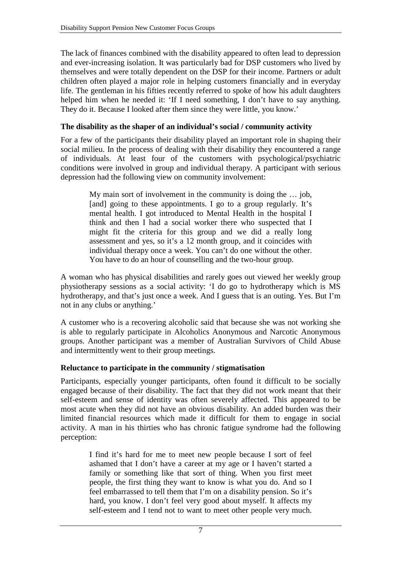The lack of finances combined with the disability appeared to often lead to depression and ever-increasing isolation. It was particularly bad for DSP customers who lived by themselves and were totally dependent on the DSP for their income. Partners or adult children often played a major role in helping customers financially and in everyday life. The gentleman in his fifties recently referred to spoke of how his adult daughters helped him when he needed it: 'If I need something, I don't have to say anything. They do it. Because I looked after them since they were little, you know.'

#### **The disability as the shaper of an individual's social / community activity**

For a few of the participants their disability played an important role in shaping their social milieu. In the process of dealing with their disability they encountered a range of individuals. At least four of the customers with psychological/psychiatric conditions were involved in group and individual therapy. A participant with serious depression had the following view on community involvement:

> My main sort of involvement in the community is doing the … job, [and] going to these appointments. I go to a group regularly. It's mental health. I got introduced to Mental Health in the hospital I think and then I had a social worker there who suspected that I might fit the criteria for this group and we did a really long assessment and yes, so it's a 12 month group, and it coincides with individual therapy once a week. You can't do one without the other. You have to do an hour of counselling and the two-hour group.

A woman who has physical disabilities and rarely goes out viewed her weekly group physiotherapy sessions as a social activity: 'I do go to hydrotherapy which is MS hydrotherapy, and that's just once a week. And I guess that is an outing. Yes. But I'm not in any clubs or anything.'

A customer who is a recovering alcoholic said that because she was not working she is able to regularly participate in Alcoholics Anonymous and Narcotic Anonymous groups. Another participant was a member of Australian Survivors of Child Abuse and intermittently went to their group meetings.

#### **Reluctance to participate in the community / stigmatisation**

Participants, especially younger participants, often found it difficult to be socially engaged because of their disability. The fact that they did not work meant that their self-esteem and sense of identity was often severely affected. This appeared to be most acute when they did not have an obvious disability. An added burden was their limited financial resources which made it difficult for them to engage in social activity. A man in his thirties who has chronic fatigue syndrome had the following perception:

> I find it's hard for me to meet new people because I sort of feel ashamed that I don't have a career at my age or I haven't started a family or something like that sort of thing. When you first meet people, the first thing they want to know is what you do. And so I feel embarrassed to tell them that I'm on a disability pension. So it's hard, you know. I don't feel very good about myself. It affects my self-esteem and I tend not to want to meet other people very much.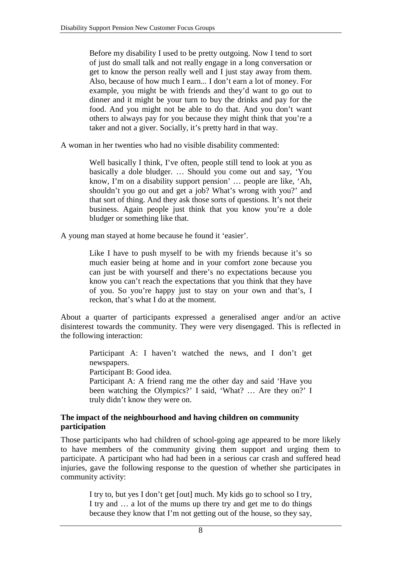Before my disability I used to be pretty outgoing. Now I tend to sort of just do small talk and not really engage in a long conversation or get to know the person really well and I just stay away from them. Also, because of how much I earn... I don't earn a lot of money. For example, you might be with friends and they'd want to go out to dinner and it might be your turn to buy the drinks and pay for the food. And you might not be able to do that. And you don't want others to always pay for you because they might think that you're a taker and not a giver. Socially, it's pretty hard in that way.

A woman in her twenties who had no visible disability commented:

Well basically I think, I've often, people still tend to look at you as basically a dole bludger. … Should you come out and say, 'You know, I'm on a disability support pension' … people are like, 'Ah, shouldn't you go out and get a job? What's wrong with you?' and that sort of thing. And they ask those sorts of questions. It's not their business. Again people just think that you know you're a dole bludger or something like that.

A young man stayed at home because he found it 'easier'.

Like I have to push myself to be with my friends because it's so much easier being at home and in your comfort zone because you can just be with yourself and there's no expectations because you know you can't reach the expectations that you think that they have of you. So you're happy just to stay on your own and that's, I reckon, that's what I do at the moment.

About a quarter of participants expressed a generalised anger and/or an active disinterest towards the community. They were very disengaged. This is reflected in the following interaction:

> Participant A: I haven't watched the news, and I don't get newspapers.

Participant B: Good idea.

Participant A: A friend rang me the other day and said 'Have you been watching the Olympics?' I said, 'What? … Are they on?' I truly didn't know they were on.

#### **The impact of the neighbourhood and having children on community participation**

Those participants who had children of school-going age appeared to be more likely to have members of the community giving them support and urging them to participate. A participant who had had been in a serious car crash and suffered head injuries, gave the following response to the question of whether she participates in community activity:

> I try to, but yes I don't get [out] much. My kids go to school so I try, I try and … a lot of the mums up there try and get me to do things because they know that I'm not getting out of the house, so they say,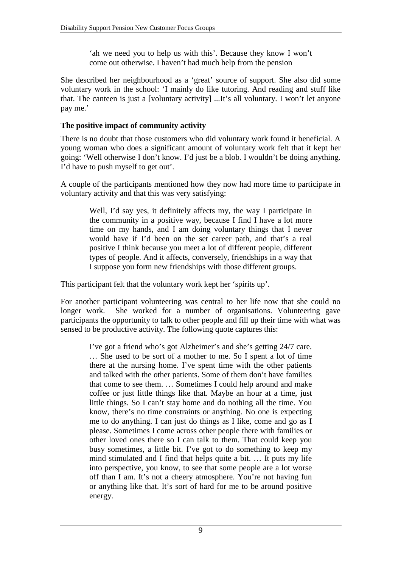'ah we need you to help us with this'. Because they know I won't come out otherwise. I haven't had much help from the pension

She described her neighbourhood as a 'great' source of support. She also did some voluntary work in the school: 'I mainly do like tutoring. And reading and stuff like that. The canteen is just a [voluntary activity] ...It's all voluntary. I won't let anyone pay me.'

#### **The positive impact of community activity**

There is no doubt that those customers who did voluntary work found it beneficial. A young woman who does a significant amount of voluntary work felt that it kept her going: 'Well otherwise I don't know. I'd just be a blob. I wouldn't be doing anything. I'd have to push myself to get out'.

A couple of the participants mentioned how they now had more time to participate in voluntary activity and that this was very satisfying:

> Well, I'd say yes, it definitely affects my, the way I participate in the community in a positive way, because I find I have a lot more time on my hands, and I am doing voluntary things that I never would have if I'd been on the set career path, and that's a real positive I think because you meet a lot of different people, different types of people. And it affects, conversely, friendships in a way that I suppose you form new friendships with those different groups.

This participant felt that the voluntary work kept her 'spirits up'.

For another participant volunteering was central to her life now that she could no longer work. She worked for a number of organisations. Volunteering gave participants the opportunity to talk to other people and fill up their time with what was sensed to be productive activity. The following quote captures this:

> I've got a friend who's got Alzheimer's and she's getting 24/7 care. … She used to be sort of a mother to me. So I spent a lot of time there at the nursing home. I've spent time with the other patients and talked with the other patients. Some of them don't have families that come to see them. … Sometimes I could help around and make coffee or just little things like that. Maybe an hour at a time, just little things. So I can't stay home and do nothing all the time. You know, there's no time constraints or anything. No one is expecting me to do anything. I can just do things as I like, come and go as I please. Sometimes I come across other people there with families or other loved ones there so I can talk to them. That could keep you busy sometimes, a little bit. I've got to do something to keep my mind stimulated and I find that helps quite a bit. … It puts my life into perspective, you know, to see that some people are a lot worse off than I am. It's not a cheery atmosphere. You're not having fun or anything like that. It's sort of hard for me to be around positive energy.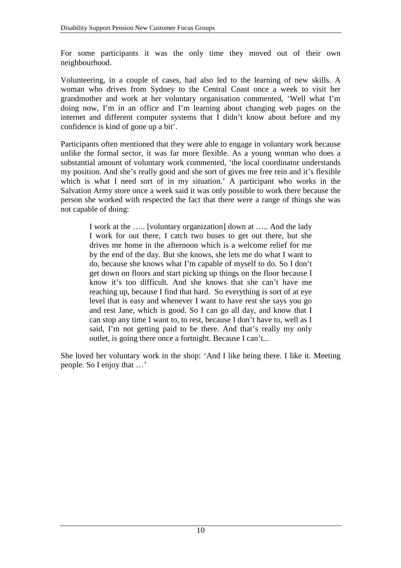For some participants it was the only time they moved out of their own neighbourhood.

Volunteering, in a couple of cases, had also led to the learning of new skills. A woman who drives from Sydney to the Central Coast once a week to visit her grandmother and work at her voluntary organisation commented, 'Well what I'm doing now, I'm in an office and I'm learning about changing web pages on the internet and different computer systems that I didn't know about before and my confidence is kind of gone up a bit'.

Participants often mentioned that they were able to engage in voluntary work because unlike the formal sector, it was far more flexible. As a young woman who does a substantial amount of voluntary work commented, 'the local coordinator understands my position. And she's really good and she sort of gives me free rein and it's flexible which is what I need sort of in my situation.' A participant who works in the Salvation Army store once a week said it was only possible to work there because the person she worked with respected the fact that there were a range of things she was not capable of doing:

> I work at the ….. [voluntary organization] down at ….. And the lady I work for out there, I catch two buses to get out there, but she drives me home in the afternoon which is a welcome relief for me by the end of the day. But she knows, she lets me do what I want to do, because she knows what I'm capable of myself to do. So I don't get down on floors and start picking up things on the floor because I know it's too difficult. And she knows that she can't have me reaching up, because I find that hard. So everything is sort of at eye level that is easy and whenever I want to have rest she says you go and rest Jane, which is good. So I can go all day, and know that I can stop any time I want to, to rest, because I don't have to, well as I said, I'm not getting paid to be there. And that's really my only outlet, is going there once a fortnight. Because I can't...

She loved her voluntary work in the shop: 'And I like being there. I like it. Meeting people. So I enjoy that …'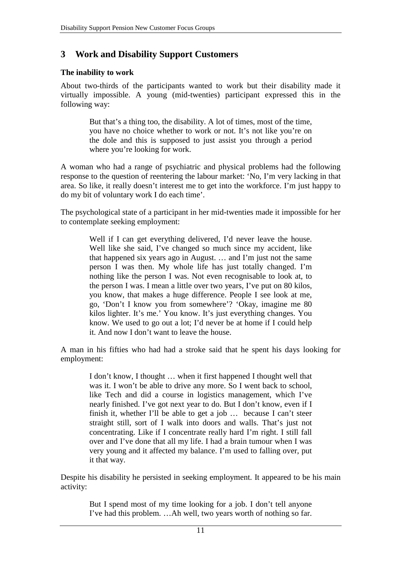# **3 Work and Disability Support Customers**

#### **The inability to work**

About two-thirds of the participants wanted to work but their disability made it virtually impossible. A young (mid-twenties) participant expressed this in the following way:

> But that's a thing too, the disability. A lot of times, most of the time, you have no choice whether to work or not. It's not like you're on the dole and this is supposed to just assist you through a period where you're looking for work.

A woman who had a range of psychiatric and physical problems had the following response to the question of reentering the labour market: 'No, I'm very lacking in that area. So like, it really doesn't interest me to get into the workforce. I'm just happy to do my bit of voluntary work I do each time'.

The psychological state of a participant in her mid-twenties made it impossible for her to contemplate seeking employment:

> Well if I can get everything delivered, I'd never leave the house. Well like she said, I've changed so much since my accident, like that happened six years ago in August. … and I'm just not the same person I was then. My whole life has just totally changed. I'm nothing like the person I was. Not even recognisable to look at, to the person I was. I mean a little over two years, I've put on 80 kilos, you know, that makes a huge difference. People I see look at me, go, 'Don't I know you from somewhere'? 'Okay, imagine me 80 kilos lighter. It's me.' You know. It's just everything changes. You know. We used to go out a lot; I'd never be at home if I could help it. And now I don't want to leave the house.

A man in his fifties who had had a stroke said that he spent his days looking for employment:

> I don't know, I thought … when it first happened I thought well that was it. I won't be able to drive any more. So I went back to school, like Tech and did a course in logistics management, which I've nearly finished. I've got next year to do. But I don't know, even if I finish it, whether I'll be able to get a job … because I can't steer straight still, sort of I walk into doors and walls. That's just not concentrating. Like if I concentrate really hard I'm right. I still fall over and I've done that all my life. I had a brain tumour when I was very young and it affected my balance. I'm used to falling over, put it that way.

Despite his disability he persisted in seeking employment. It appeared to be his main activity:

> But I spend most of my time looking for a job. I don't tell anyone I've had this problem. …Ah well, two years worth of nothing so far.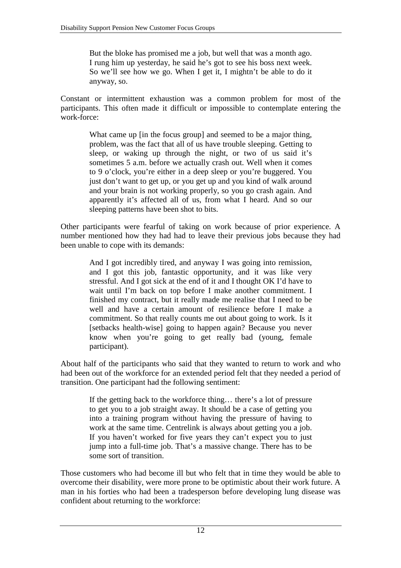But the bloke has promised me a job, but well that was a month ago. I rung him up yesterday, he said he's got to see his boss next week. So we'll see how we go. When I get it, I mightn't be able to do it anyway, so.

Constant or intermittent exhaustion was a common problem for most of the participants. This often made it difficult or impossible to contemplate entering the work-force:

> What came up [in the focus group] and seemed to be a major thing, problem, was the fact that all of us have trouble sleeping. Getting to sleep, or waking up through the night, or two of us said it's sometimes 5 a.m. before we actually crash out. Well when it comes to 9 o'clock, you're either in a deep sleep or you're buggered. You just don't want to get up, or you get up and you kind of walk around and your brain is not working properly, so you go crash again. And apparently it's affected all of us, from what I heard. And so our sleeping patterns have been shot to bits.

Other participants were fearful of taking on work because of prior experience. A number mentioned how they had had to leave their previous jobs because they had been unable to cope with its demands:

> And I got incredibly tired, and anyway I was going into remission, and I got this job, fantastic opportunity, and it was like very stressful. And I got sick at the end of it and I thought OK I'd have to wait until I'm back on top before I make another commitment. I finished my contract, but it really made me realise that I need to be well and have a certain amount of resilience before I make a commitment. So that really counts me out about going to work. Is it [setbacks health-wise] going to happen again? Because you never know when you're going to get really bad (young, female participant).

About half of the participants who said that they wanted to return to work and who had been out of the workforce for an extended period felt that they needed a period of transition. One participant had the following sentiment:

> If the getting back to the workforce thing… there's a lot of pressure to get you to a job straight away. It should be a case of getting you into a training program without having the pressure of having to work at the same time. Centrelink is always about getting you a job. If you haven't worked for five years they can't expect you to just jump into a full-time job. That's a massive change. There has to be some sort of transition.

Those customers who had become ill but who felt that in time they would be able to overcome their disability, were more prone to be optimistic about their work future. A man in his forties who had been a tradesperson before developing lung disease was confident about returning to the workforce: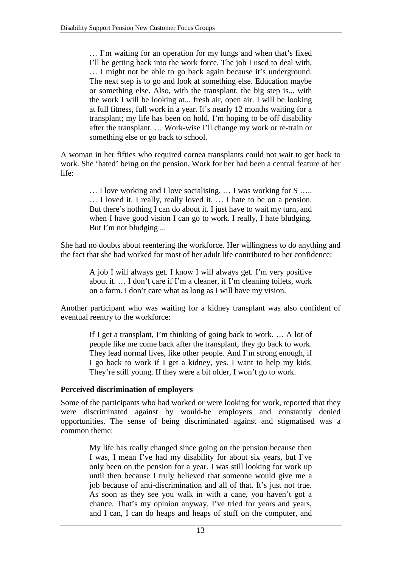… I'm waiting for an operation for my lungs and when that's fixed I'll be getting back into the work force. The job I used to deal with, … I might not be able to go back again because it's underground. The next step is to go and look at something else. Education maybe or something else. Also, with the transplant, the big step is... with the work I will be looking at... fresh air, open air. I will be looking at full fitness, full work in a year. It's nearly 12 months waiting for a transplant; my life has been on hold. I'm hoping to be off disability after the transplant. … Work-wise I'll change my work or re-train or something else or go back to school.

A woman in her fifties who required cornea transplants could not wait to get back to work. She 'hated' being on the pension. Work for her had been a central feature of her life:

> … I love working and I love socialising. … I was working for S ….. … I loved it. I really, really loved it. … I hate to be on a pension. But there's nothing I can do about it. I just have to wait my turn, and when I have good vision I can go to work. I really, I hate bludging. But I'm not bludging ...

She had no doubts about reentering the workforce. Her willingness to do anything and the fact that she had worked for most of her adult life contributed to her confidence:

> A job I will always get. I know I will always get. I'm very positive about it. … I don't care if I'm a cleaner, if I'm cleaning toilets, work on a farm. I don't care what as long as I will have my vision.

Another participant who was waiting for a kidney transplant was also confident of eventual reentry to the workforce:

> If I get a transplant, I'm thinking of going back to work. … A lot of people like me come back after the transplant, they go back to work. They lead normal lives, like other people. And I'm strong enough, if I go back to work if I get a kidney, yes. I want to help my kids. They're still young. If they were a bit older, I won't go to work.

#### **Perceived discrimination of employers**

Some of the participants who had worked or were looking for work, reported that they were discriminated against by would-be employers and constantly denied opportunities. The sense of being discriminated against and stigmatised was a common theme:

> My life has really changed since going on the pension because then I was, I mean I've had my disability for about six years, but I've only been on the pension for a year. I was still looking for work up until then because I truly believed that someone would give me a job because of anti-discrimination and all of that. It's just not true. As soon as they see you walk in with a cane, you haven't got a chance. That's my opinion anyway. I've tried for years and years, and I can, I can do heaps and heaps of stuff on the computer, and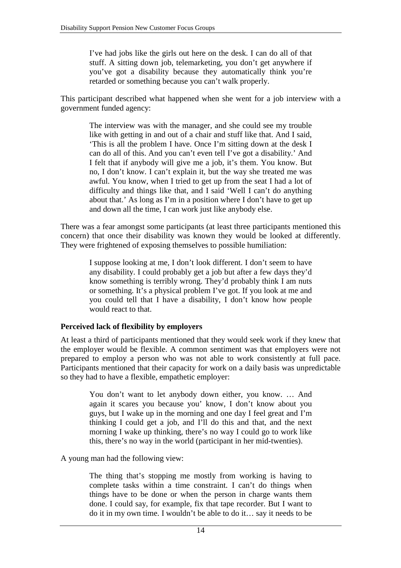I've had jobs like the girls out here on the desk. I can do all of that stuff. A sitting down job, telemarketing, you don't get anywhere if you've got a disability because they automatically think you're retarded or something because you can't walk properly.

This participant described what happened when she went for a job interview with a government funded agency:

> The interview was with the manager, and she could see my trouble like with getting in and out of a chair and stuff like that. And I said, 'This is all the problem I have. Once I'm sitting down at the desk I can do all of this. And you can't even tell I've got a disability.' And I felt that if anybody will give me a job, it's them. You know. But no, I don't know. I can't explain it, but the way she treated me was awful. You know, when I tried to get up from the seat I had a lot of difficulty and things like that, and I said 'Well I can't do anything about that.' As long as I'm in a position where I don't have to get up and down all the time, I can work just like anybody else.

There was a fear amongst some participants (at least three participants mentioned this concern) that once their disability was known they would be looked at differently. They were frightened of exposing themselves to possible humiliation:

> I suppose looking at me, I don't look different. I don't seem to have any disability. I could probably get a job but after a few days they'd know something is terribly wrong. They'd probably think I am nuts or something. It's a physical problem I've got. If you look at me and you could tell that I have a disability, I don't know how people would react to that.

#### **Perceived lack of flexibility by employers**

At least a third of participants mentioned that they would seek work if they knew that the employer would be flexible. A common sentiment was that employers were not prepared to employ a person who was not able to work consistently at full pace. Participants mentioned that their capacity for work on a daily basis was unpredictable so they had to have a flexible, empathetic employer:

> You don't want to let anybody down either, you know. … And again it scares you because you' know, I don't know about you guys, but I wake up in the morning and one day I feel great and I'm thinking I could get a job, and I'll do this and that, and the next morning I wake up thinking, there's no way I could go to work like this, there's no way in the world (participant in her mid-twenties).

A young man had the following view:

The thing that's stopping me mostly from working is having to complete tasks within a time constraint. I can't do things when things have to be done or when the person in charge wants them done. I could say, for example, fix that tape recorder. But I want to do it in my own time. I wouldn't be able to do it… say it needs to be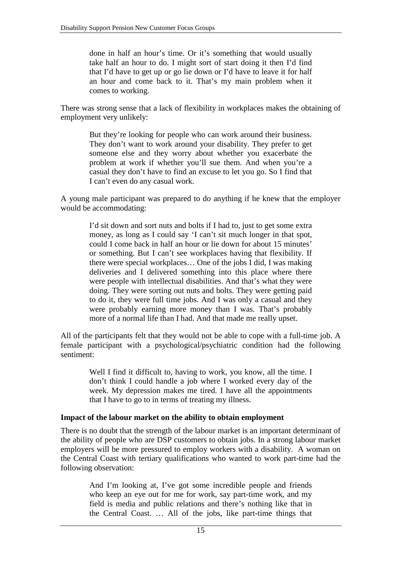done in half an hour's time. Or it's something that would usually take half an hour to do. I might sort of start doing it then I'd find that I'd have to get up or go lie down or I'd have to leave it for half an hour and come back to it. That's my main problem when it comes to working.

There was strong sense that a lack of flexibility in workplaces makes the obtaining of employment very unlikely:

> But they're looking for people who can work around their business. They don't want to work around your disability. They prefer to get someone else and they worry about whether you exacerbate the problem at work if whether you'll sue them. And when you're a casual they don't have to find an excuse to let you go. So I find that I can't even do any casual work.

A young male participant was prepared to do anything if he knew that the employer would be accommodating:

> I'd sit down and sort nuts and bolts if I had to, just to get some extra money, as long as I could say 'I can't sit much longer in that spot, could I come back in half an hour or lie down for about 15 minutes' or something. But I can't see workplaces having that flexibility. If there were special workplaces… One of the jobs I did, I was making deliveries and I delivered something into this place where there were people with intellectual disabilities. And that's what they were doing. They were sorting out nuts and bolts. They were getting paid to do it, they were full time jobs. And I was only a casual and they were probably earning more money than I was. That's probably more of a normal life than I had. And that made me really upset.

All of the participants felt that they would not be able to cope with a full-time job. A female participant with a psychological/psychiatric condition had the following sentiment:

> Well I find it difficult to, having to work, you know, all the time. I don't think I could handle a job where I worked every day of the week. My depression makes me tired. I have all the appointments that I have to go to in terms of treating my illness.

#### **Impact of the labour market on the ability to obtain employment**

There is no doubt that the strength of the labour market is an important determinant of the ability of people who are DSP customers to obtain jobs. In a strong labour market employers will be more pressured to employ workers with a disability. A woman on the Central Coast with tertiary qualifications who wanted to work part-time had the following observation:

> And I'm looking at, I've got some incredible people and friends who keep an eye out for me for work, say part-time work, and my field is media and public relations and there's nothing like that in the Central Coast. … All of the jobs, like part-time things that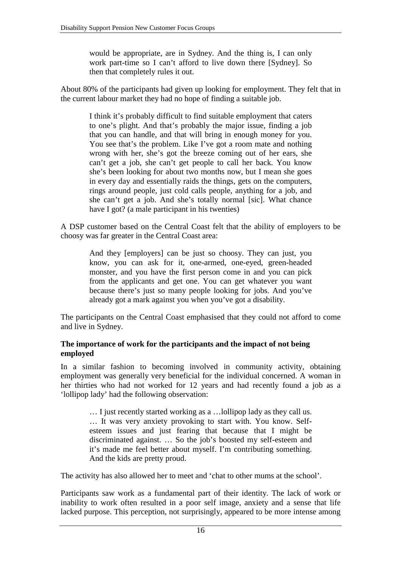would be appropriate, are in Sydney. And the thing is, I can only work part-time so I can't afford to live down there [Sydney]. So then that completely rules it out.

About 80% of the participants had given up looking for employment. They felt that in the current labour market they had no hope of finding a suitable job.

> I think it's probably difficult to find suitable employment that caters to one's plight. And that's probably the major issue, finding a job that you can handle, and that will bring in enough money for you. You see that's the problem. Like I've got a room mate and nothing wrong with her, she's got the breeze coming out of her ears, she can't get a job, she can't get people to call her back. You know she's been looking for about two months now, but I mean she goes in every day and essentially raids the things, gets on the computers, rings around people, just cold calls people, anything for a job, and she can't get a job. And she's totally normal [sic]. What chance have I got? (a male participant in his twenties)

A DSP customer based on the Central Coast felt that the ability of employers to be choosy was far greater in the Central Coast area:

> And they [employers] can be just so choosy. They can just, you know, you can ask for it, one-armed, one-eyed, green-headed monster, and you have the first person come in and you can pick from the applicants and get one. You can get whatever you want because there's just so many people looking for jobs. And you've already got a mark against you when you've got a disability.

The participants on the Central Coast emphasised that they could not afford to come and live in Sydney.

#### **The importance of work for the participants and the impact of not being employed**

In a similar fashion to becoming involved in community activity, obtaining employment was generally very beneficial for the individual concerned. A woman in her thirties who had not worked for 12 years and had recently found a job as a 'lollipop lady' had the following observation:

> … I just recently started working as a …lollipop lady as they call us. … It was very anxiety provoking to start with. You know. Selfesteem issues and just fearing that because that I might be discriminated against. … So the job's boosted my self-esteem and it's made me feel better about myself. I'm contributing something. And the kids are pretty proud.

The activity has also allowed her to meet and 'chat to other mums at the school'.

Participants saw work as a fundamental part of their identity. The lack of work or inability to work often resulted in a poor self image, anxiety and a sense that life lacked purpose. This perception, not surprisingly, appeared to be more intense among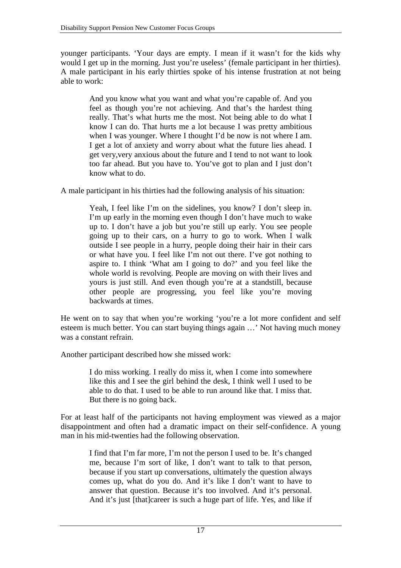younger participants. 'Your days are empty. I mean if it wasn't for the kids why would I get up in the morning. Just you're useless' (female participant in her thirties). A male participant in his early thirties spoke of his intense frustration at not being able to work:

> And you know what you want and what you're capable of. And you feel as though you're not achieving. And that's the hardest thing really. That's what hurts me the most. Not being able to do what I know I can do. That hurts me a lot because I was pretty ambitious when I was younger. Where I thought I'd be now is not where I am. I get a lot of anxiety and worry about what the future lies ahead. I get very,very anxious about the future and I tend to not want to look too far ahead. But you have to. You've got to plan and I just don't know what to do.

A male participant in his thirties had the following analysis of his situation:

Yeah, I feel like I'm on the sidelines, you know? I don't sleep in. I'm up early in the morning even though I don't have much to wake up to. I don't have a job but you're still up early. You see people going up to their cars, on a hurry to go to work. When I walk outside I see people in a hurry, people doing their hair in their cars or what have you. I feel like I'm not out there. I've got nothing to aspire to. I think 'What am I going to do?' and you feel like the whole world is revolving. People are moving on with their lives and yours is just still. And even though you're at a standstill, because other people are progressing, you feel like you're moving backwards at times.

He went on to say that when you're working 'you're a lot more confident and self esteem is much better. You can start buying things again …' Not having much money was a constant refrain.

Another participant described how she missed work:

I do miss working. I really do miss it, when I come into somewhere like this and I see the girl behind the desk, I think well I used to be able to do that. I used to be able to run around like that. I miss that. But there is no going back.

For at least half of the participants not having employment was viewed as a major disappointment and often had a dramatic impact on their self-confidence. A young man in his mid-twenties had the following observation.

> I find that I'm far more, I'm not the person I used to be. It's changed me, because I'm sort of like, I don't want to talk to that person, because if you start up conversations, ultimately the question always comes up, what do you do. And it's like I don't want to have to answer that question. Because it's too involved. And it's personal. And it's just [that]career is such a huge part of life. Yes, and like if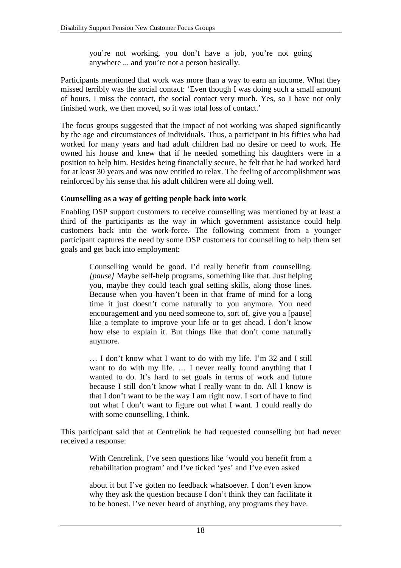you're not working, you don't have a job, you're not going anywhere ... and you're not a person basically.

Participants mentioned that work was more than a way to earn an income. What they missed terribly was the social contact: 'Even though I was doing such a small amount of hours. I miss the contact, the social contact very much. Yes, so I have not only finished work, we then moved, so it was total loss of contact.'

The focus groups suggested that the impact of not working was shaped significantly by the age and circumstances of individuals. Thus, a participant in his fifties who had worked for many years and had adult children had no desire or need to work. He owned his house and knew that if he needed something his daughters were in a position to help him. Besides being financially secure, he felt that he had worked hard for at least 30 years and was now entitled to relax. The feeling of accomplishment was reinforced by his sense that his adult children were all doing well.

#### **Counselling as a way of getting people back into work**

Enabling DSP support customers to receive counselling was mentioned by at least a third of the participants as the way in which government assistance could help customers back into the work-force. The following comment from a younger participant captures the need by some DSP customers for counselling to help them set goals and get back into employment:

> Counselling would be good. I'd really benefit from counselling. *[pause]* Maybe self-help programs, something like that. Just helping you, maybe they could teach goal setting skills, along those lines. Because when you haven't been in that frame of mind for a long time it just doesn't come naturally to you anymore. You need encouragement and you need someone to, sort of, give you a [pause] like a template to improve your life or to get ahead. I don't know how else to explain it. But things like that don't come naturally anymore.

> … I don't know what I want to do with my life. I'm 32 and I still want to do with my life. … I never really found anything that I wanted to do. It's hard to set goals in terms of work and future because I still don't know what I really want to do. All I know is that I don't want to be the way I am right now. I sort of have to find out what I don't want to figure out what I want. I could really do with some counselling, I think.

This participant said that at Centrelink he had requested counselling but had never received a response:

> With Centrelink, I've seen questions like 'would you benefit from a rehabilitation program' and I've ticked 'yes' and I've even asked

> about it but I've gotten no feedback whatsoever. I don't even know why they ask the question because I don't think they can facilitate it to be honest. I've never heard of anything, any programs they have.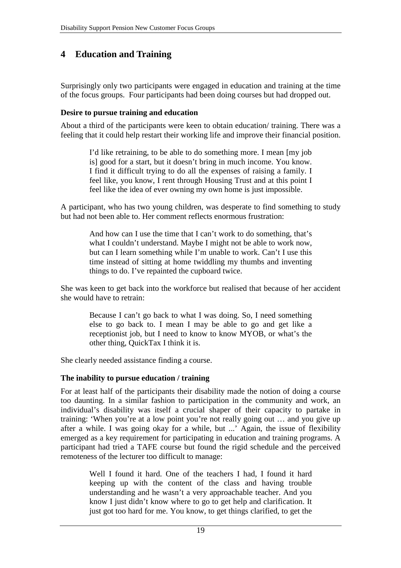# **4 Education and Training**

Surprisingly only two participants were engaged in education and training at the time of the focus groups. Four participants had been doing courses but had dropped out.

#### **Desire to pursue training and education**

About a third of the participants were keen to obtain education/ training. There was a feeling that it could help restart their working life and improve their financial position.

> I'd like retraining, to be able to do something more. I mean [my job is] good for a start, but it doesn't bring in much income. You know. I find it difficult trying to do all the expenses of raising a family. I feel like, you know, I rent through Housing Trust and at this point I feel like the idea of ever owning my own home is just impossible.

A participant, who has two young children, was desperate to find something to study but had not been able to. Her comment reflects enormous frustration:

> And how can I use the time that I can't work to do something, that's what I couldn't understand. Maybe I might not be able to work now, but can I learn something while I'm unable to work. Can't I use this time instead of sitting at home twiddling my thumbs and inventing things to do. I've repainted the cupboard twice.

She was keen to get back into the workforce but realised that because of her accident she would have to retrain:

> Because I can't go back to what I was doing. So, I need something else to go back to. I mean I may be able to go and get like a receptionist job, but I need to know to know MYOB, or what's the other thing, QuickTax I think it is.

She clearly needed assistance finding a course.

#### **The inability to pursue education / training**

For at least half of the participants their disability made the notion of doing a course too daunting. In a similar fashion to participation in the community and work, an individual's disability was itself a crucial shaper of their capacity to partake in training: 'When you're at a low point you're not really going out … and you give up after a while. I was going okay for a while, but ...' Again, the issue of flexibility emerged as a key requirement for participating in education and training programs. A participant had tried a TAFE course but found the rigid schedule and the perceived remoteness of the lecturer too difficult to manage:

> Well I found it hard. One of the teachers I had, I found it hard keeping up with the content of the class and having trouble understanding and he wasn't a very approachable teacher. And you know I just didn't know where to go to get help and clarification. It just got too hard for me. You know, to get things clarified, to get the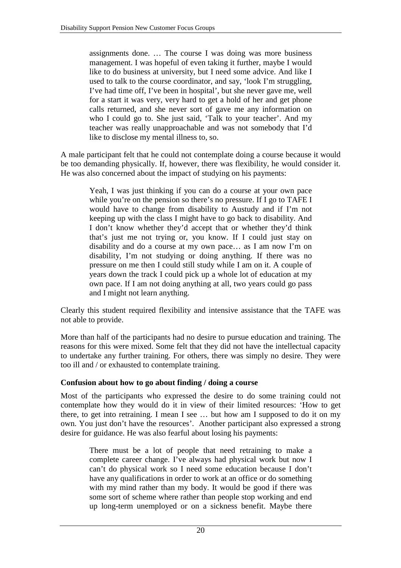assignments done. … The course I was doing was more business management. I was hopeful of even taking it further, maybe I would like to do business at university, but I need some advice. And like I used to talk to the course coordinator, and say, 'look I'm struggling, I've had time off, I've been in hospital', but she never gave me, well for a start it was very, very hard to get a hold of her and get phone calls returned, and she never sort of gave me any information on who I could go to. She just said, 'Talk to your teacher'. And my teacher was really unapproachable and was not somebody that I'd like to disclose my mental illness to, so.

A male participant felt that he could not contemplate doing a course because it would be too demanding physically. If, however, there was flexibility, he would consider it. He was also concerned about the impact of studying on his payments:

> Yeah, I was just thinking if you can do a course at your own pace while you're on the pension so there's no pressure. If I go to TAFE I would have to change from disability to Austudy and if I'm not keeping up with the class I might have to go back to disability. And I don't know whether they'd accept that or whether they'd think that's just me not trying or, you know. If I could just stay on disability and do a course at my own pace… as I am now I'm on disability, I'm not studying or doing anything. If there was no pressure on me then I could still study while I am on it. A couple of years down the track I could pick up a whole lot of education at my own pace. If I am not doing anything at all, two years could go pass and I might not learn anything.

Clearly this student required flexibility and intensive assistance that the TAFE was not able to provide.

More than half of the participants had no desire to pursue education and training. The reasons for this were mixed. Some felt that they did not have the intellectual capacity to undertake any further training. For others, there was simply no desire. They were too ill and / or exhausted to contemplate training.

#### **Confusion about how to go about finding / doing a course**

Most of the participants who expressed the desire to do some training could not contemplate how they would do it in view of their limited resources: 'How to get there, to get into retraining. I mean I see … but how am I supposed to do it on my own. You just don't have the resources'. Another participant also expressed a strong desire for guidance. He was also fearful about losing his payments:

> There must be a lot of people that need retraining to make a complete career change. I've always had physical work but now I can't do physical work so I need some education because I don't have any qualifications in order to work at an office or do something with my mind rather than my body. It would be good if there was some sort of scheme where rather than people stop working and end up long-term unemployed or on a sickness benefit. Maybe there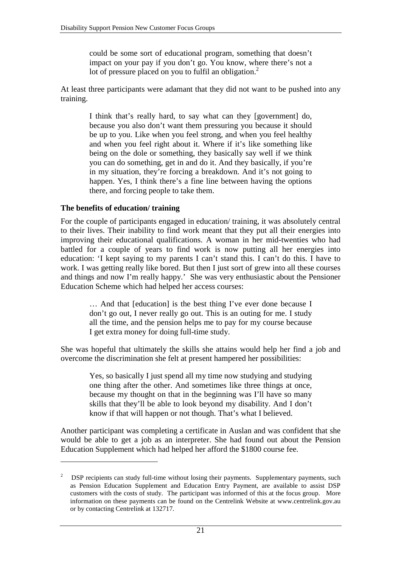could be some sort of educational program, something that doesn't impact on your pay if you don't go. You know, where there's not a lot of pressure placed on you to fulfil an obligation.<sup>2</sup>

At least three participants were adamant that they did not want to be pushed into any training.

I think that's really hard, to say what can they [government] do, because you also don't want them pressuring you because it should be up to you. Like when you feel strong, and when you feel healthy and when you feel right about it. Where if it's like something like being on the dole or something, they basically say well if we think you can do something, get in and do it. And they basically, if you're in my situation, they're forcing a breakdown. And it's not going to happen. Yes, I think there's a fine line between having the options there, and forcing people to take them.

#### **The benefits of education/ training**

 $\overline{a}$ 

For the couple of participants engaged in education/ training, it was absolutely central to their lives. Their inability to find work meant that they put all their energies into improving their educational qualifications. A woman in her mid-twenties who had battled for a couple of years to find work is now putting all her energies into education: 'I kept saying to my parents I can't stand this. I can't do this. I have to work. I was getting really like bored. But then I just sort of grew into all these courses and things and now I'm really happy.' She was very enthusiastic about the Pensioner Education Scheme which had helped her access courses:

> … And that [education] is the best thing I've ever done because I don't go out, I never really go out. This is an outing for me. I study all the time, and the pension helps me to pay for my course because I get extra money for doing full-time study.

She was hopeful that ultimately the skills she attains would help her find a job and overcome the discrimination she felt at present hampered her possibilities:

> Yes, so basically I just spend all my time now studying and studying one thing after the other. And sometimes like three things at once, because my thought on that in the beginning was I'll have so many skills that they'll be able to look beyond my disability. And I don't know if that will happen or not though. That's what I believed.

Another participant was completing a certificate in Auslan and was confident that she would be able to get a job as an interpreter. She had found out about the Pension Education Supplement which had helped her afford the \$1800 course fee.

<sup>2</sup> DSP recipients can study full-time without losing their payments. Supplementary payments, such as Pension Education Supplement and Education Entry Payment, are available to assist DSP customers with the costs of study. The participant was informed of this at the focus group. More information on these payments can be found on the Centrelink Website at www.centrelink.gov.au or by contacting Centrelink at 132717.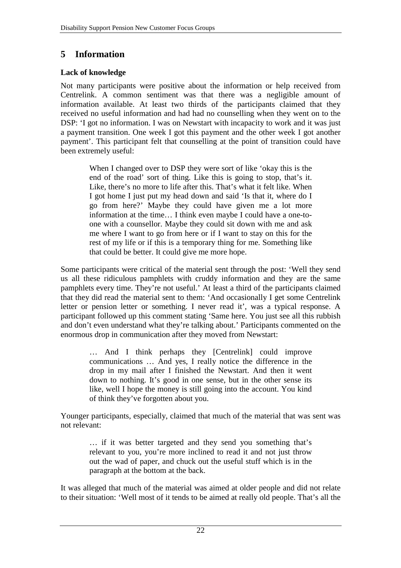# **5 Information**

#### **Lack of knowledge**

Not many participants were positive about the information or help received from Centrelink. A common sentiment was that there was a negligible amount of information available. At least two thirds of the participants claimed that they received no useful information and had had no counselling when they went on to the DSP: 'I got no information. I was on Newstart with incapacity to work and it was just a payment transition. One week I got this payment and the other week I got another payment'. This participant felt that counselling at the point of transition could have been extremely useful:

> When I changed over to DSP they were sort of like 'okay this is the end of the road' sort of thing. Like this is going to stop, that's it. Like, there's no more to life after this. That's what it felt like. When I got home I just put my head down and said 'Is that it, where do I go from here?' Maybe they could have given me a lot more information at the time… I think even maybe I could have a one-toone with a counsellor. Maybe they could sit down with me and ask me where I want to go from here or if I want to stay on this for the rest of my life or if this is a temporary thing for me. Something like that could be better. It could give me more hope.

Some participants were critical of the material sent through the post: 'Well they send us all these ridiculous pamphlets with cruddy information and they are the same pamphlets every time. They're not useful.' At least a third of the participants claimed that they did read the material sent to them: 'And occasionally I get some Centrelink letter or pension letter or something. I never read it', was a typical response. A participant followed up this comment stating 'Same here. You just see all this rubbish and don't even understand what they're talking about.' Participants commented on the enormous drop in communication after they moved from Newstart:

> … And I think perhaps they [Centrelink] could improve communications … And yes, I really notice the difference in the drop in my mail after I finished the Newstart. And then it went down to nothing. It's good in one sense, but in the other sense its like, well I hope the money is still going into the account. You kind of think they've forgotten about you.

Younger participants, especially, claimed that much of the material that was sent was not relevant:

> … if it was better targeted and they send you something that's relevant to you, you're more inclined to read it and not just throw out the wad of paper, and chuck out the useful stuff which is in the paragraph at the bottom at the back.

It was alleged that much of the material was aimed at older people and did not relate to their situation: 'Well most of it tends to be aimed at really old people. That's all the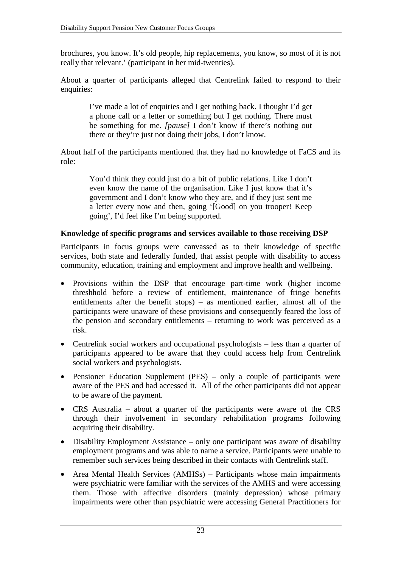brochures, you know. It's old people, hip replacements, you know, so most of it is not really that relevant.' (participant in her mid-twenties).

About a quarter of participants alleged that Centrelink failed to respond to their enquiries:

> I've made a lot of enquiries and I get nothing back. I thought I'd get a phone call or a letter or something but I get nothing. There must be something for me. *[pause]* I don't know if there's nothing out there or they're just not doing their jobs, I don't know.

About half of the participants mentioned that they had no knowledge of FaCS and its role:

> You'd think they could just do a bit of public relations. Like I don't even know the name of the organisation. Like I just know that it's government and I don't know who they are, and if they just sent me a letter every now and then, going '[Good] on you trooper! Keep going', I'd feel like I'm being supported.

#### **Knowledge of specific programs and services available to those receiving DSP**

Participants in focus groups were canvassed as to their knowledge of specific services, both state and federally funded, that assist people with disability to access community, education, training and employment and improve health and wellbeing.

- Provisions within the DSP that encourage part-time work (higher income threshhold before a review of entitlement, maintenance of fringe benefits entitlements after the benefit stops) – as mentioned earlier, almost all of the participants were unaware of these provisions and consequently feared the loss of the pension and secondary entitlements – returning to work was perceived as a risk.
- Centrelink social workers and occupational psychologists less than a quarter of participants appeared to be aware that they could access help from Centrelink social workers and psychologists.
- Pensioner Education Supplement (PES) only a couple of participants were aware of the PES and had accessed it. All of the other participants did not appear to be aware of the payment.
- CRS Australia about a quarter of the participants were aware of the CRS through their involvement in secondary rehabilitation programs following acquiring their disability.
- Disability Employment Assistance only one participant was aware of disability employment programs and was able to name a service. Participants were unable to remember such services being described in their contacts with Centrelink staff.
- Area Mental Health Services (AMHSs) Participants whose main impairments were psychiatric were familiar with the services of the AMHS and were accessing them. Those with affective disorders (mainly depression) whose primary impairments were other than psychiatric were accessing General Practitioners for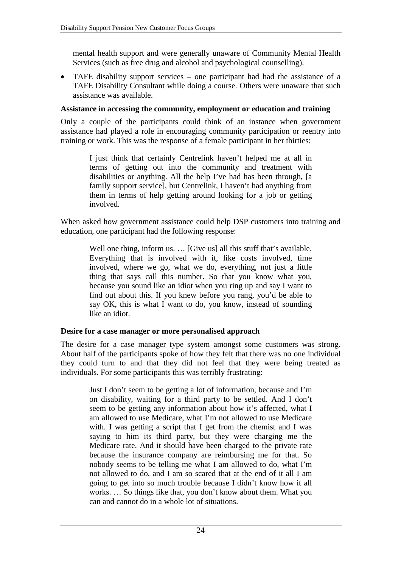mental health support and were generally unaware of Community Mental Health Services (such as free drug and alcohol and psychological counselling).

• TAFE disability support services – one participant had had the assistance of a TAFE Disability Consultant while doing a course. Others were unaware that such assistance was available.

#### **Assistance in accessing the community, employment or education and training**

Only a couple of the participants could think of an instance when government assistance had played a role in encouraging community participation or reentry into training or work. This was the response of a female participant in her thirties:

> I just think that certainly Centrelink haven't helped me at all in terms of getting out into the community and treatment with disabilities or anything. All the help I've had has been through, [a family support service], but Centrelink, I haven't had anything from them in terms of help getting around looking for a job or getting involved.

When asked how government assistance could help DSP customers into training and education, one participant had the following response:

> Well one thing, inform us. ... [Give us] all this stuff that's available. Everything that is involved with it, like costs involved, time involved, where we go, what we do, everything, not just a little thing that says call this number. So that you know what you, because you sound like an idiot when you ring up and say I want to find out about this. If you knew before you rang, you'd be able to say OK, this is what I want to do, you know, instead of sounding like an idiot.

#### **Desire for a case manager or more personalised approach**

The desire for a case manager type system amongst some customers was strong. About half of the participants spoke of how they felt that there was no one individual they could turn to and that they did not feel that they were being treated as individuals. For some participants this was terribly frustrating:

> Just I don't seem to be getting a lot of information, because and I'm on disability, waiting for a third party to be settled. And I don't seem to be getting any information about how it's affected, what I am allowed to use Medicare, what I'm not allowed to use Medicare with. I was getting a script that I get from the chemist and I was saying to him its third party, but they were charging me the Medicare rate. And it should have been charged to the private rate because the insurance company are reimbursing me for that. So nobody seems to be telling me what I am allowed to do, what I'm not allowed to do, and I am so scared that at the end of it all I am going to get into so much trouble because I didn't know how it all works. … So things like that, you don't know about them. What you can and cannot do in a whole lot of situations.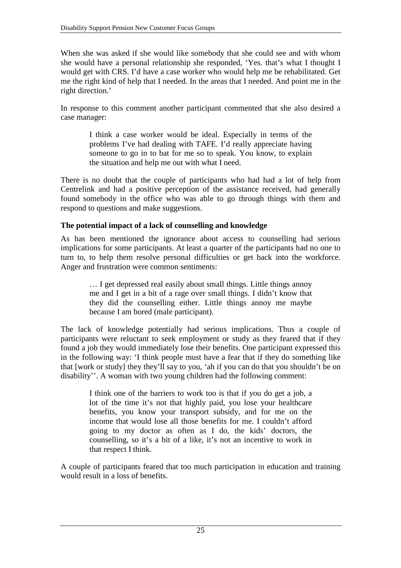When she was asked if she would like somebody that she could see and with whom she would have a personal relationship she responded, 'Yes. that's what I thought I would get with CRS. I'd have a case worker who would help me be rehabilitated. Get me the right kind of help that I needed. In the areas that I needed. And point me in the right direction.'

In response to this comment another participant commented that she also desired a case manager:

> I think a case worker would be ideal. Especially in terms of the problems I've had dealing with TAFE. I'd really appreciate having someone to go in to bat for me so to speak. You know, to explain the situation and help me out with what I need.

There is no doubt that the couple of participants who had had a lot of help from Centrelink and had a positive perception of the assistance received, had generally found somebody in the office who was able to go through things with them and respond to questions and make suggestions.

#### **The potential impact of a lack of counselling and knowledge**

As has been mentioned the ignorance about access to counselling had serious implications for some participants. At least a quarter of the participants had no one to turn to, to help them resolve personal difficulties or get back into the workforce. Anger and frustration were common sentiments:

> … I get depressed real easily about small things. Little things annoy me and I get in a bit of a rage over small things. I didn't know that they did the counselling either. Little things annoy me maybe because I am bored (male participant).

The lack of knowledge potentially had serious implications. Thus a couple of participants were reluctant to seek employment or study as they feared that if they found a job they would immediately lose their benefits. One participant expressed this in the following way: 'I think people must have a fear that if they do something like that [work or study] they they'll say to you, 'ah if you can do that you shouldn't be on disability''. A woman with two young children had the following comment:

> I think one of the barriers to work too is that if you do get a job, a lot of the time it's not that highly paid, you lose your healthcare benefits, you know your transport subsidy, and for me on the income that would lose all those benefits for me. I couldn't afford going to my doctor as often as I do, the kids' doctors, the counselling, so it's a bit of a like, it's not an incentive to work in that respect I think.

A couple of participants feared that too much participation in education and training would result in a loss of benefits.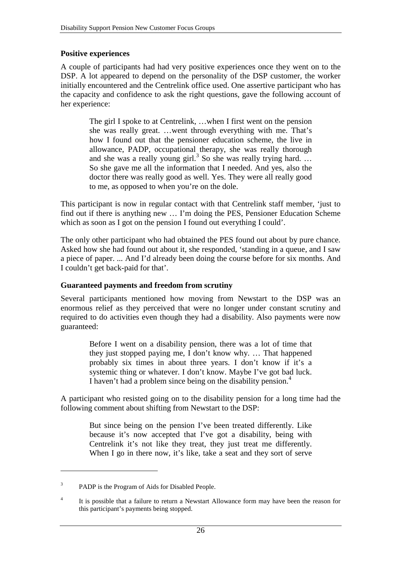#### **Positive experiences**

A couple of participants had had very positive experiences once they went on to the DSP. A lot appeared to depend on the personality of the DSP customer, the worker initially encountered and the Centrelink office used. One assertive participant who has the capacity and confidence to ask the right questions, gave the following account of her experience:

> The girl I spoke to at Centrelink, …when I first went on the pension she was really great. …went through everything with me. That's how I found out that the pensioner education scheme, the live in allowance, PADP, occupational therapy, she was really thorough and she was a really young girl.<sup>3</sup> So she was really trying hard. ... So she gave me all the information that I needed. And yes, also the doctor there was really good as well. Yes. They were all really good to me, as opposed to when you're on the dole.

This participant is now in regular contact with that Centrelink staff member, 'just to find out if there is anything new … I'm doing the PES, Pensioner Education Scheme which as soon as I got on the pension I found out everything I could'.

The only other participant who had obtained the PES found out about by pure chance. Asked how she had found out about it, she responded, 'standing in a queue, and I saw a piece of paper. ... And I'd already been doing the course before for six months. And I couldn't get back-paid for that'.

#### **Guaranteed payments and freedom from scrutiny**

Several participants mentioned how moving from Newstart to the DSP was an enormous relief as they perceived that were no longer under constant scrutiny and required to do activities even though they had a disability. Also payments were now guaranteed:

> Before I went on a disability pension, there was a lot of time that they just stopped paying me, I don't know why. … That happened probably six times in about three years. I don't know if it's a systemic thing or whatever. I don't know. Maybe I've got bad luck. I haven't had a problem since being on the disability pension.<sup>4</sup>

A participant who resisted going on to the disability pension for a long time had the following comment about shifting from Newstart to the DSP:

> But since being on the pension I've been treated differently. Like because it's now accepted that I've got a disability, being with Centrelink it's not like they treat, they just treat me differently. When I go in there now, it's like, take a seat and they sort of serve

 $\overline{a}$ 

<sup>3</sup> PADP is the Program of Aids for Disabled People.

<sup>4</sup> It is possible that a failure to return a Newstart Allowance form may have been the reason for this participant's payments being stopped.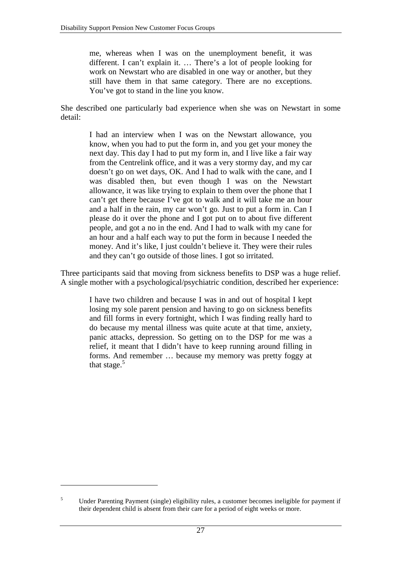me, whereas when I was on the unemployment benefit, it was different. I can't explain it. … There's a lot of people looking for work on Newstart who are disabled in one way or another, but they still have them in that same category. There are no exceptions. You've got to stand in the line you know.

She described one particularly bad experience when she was on Newstart in some detail:

> I had an interview when I was on the Newstart allowance, you know, when you had to put the form in, and you get your money the next day. This day I had to put my form in, and I live like a fair way from the Centrelink office, and it was a very stormy day, and my car doesn't go on wet days, OK. And I had to walk with the cane, and I was disabled then, but even though I was on the Newstart allowance, it was like trying to explain to them over the phone that I can't get there because I've got to walk and it will take me an hour and a half in the rain, my car won't go. Just to put a form in. Can I please do it over the phone and I got put on to about five different people, and got a no in the end. And I had to walk with my cane for an hour and a half each way to put the form in because I needed the money. And it's like, I just couldn't believe it. They were their rules and they can't go outside of those lines. I got so irritated.

Three participants said that moving from sickness benefits to DSP was a huge relief. A single mother with a psychological/psychiatric condition, described her experience:

> I have two children and because I was in and out of hospital I kept losing my sole parent pension and having to go on sickness benefits and fill forms in every fortnight, which I was finding really hard to do because my mental illness was quite acute at that time, anxiety, panic attacks, depression. So getting on to the DSP for me was a relief, it meant that I didn't have to keep running around filling in forms. And remember … because my memory was pretty foggy at that stage. $5$

 $\overline{a}$ 

<sup>5</sup> Under Parenting Payment (single) eligibility rules, a customer becomes ineligible for payment if their dependent child is absent from their care for a period of eight weeks or more.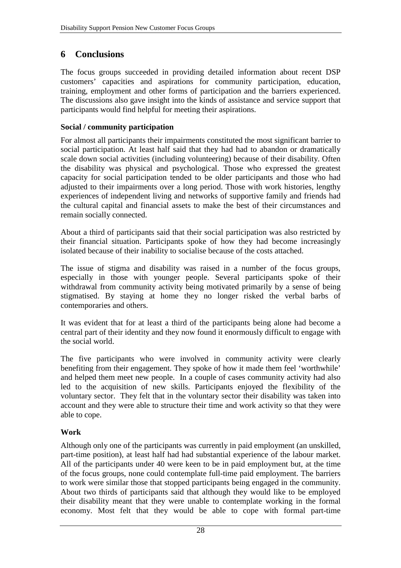# **6 Conclusions**

The focus groups succeeded in providing detailed information about recent DSP customers' capacities and aspirations for community participation, education, training, employment and other forms of participation and the barriers experienced. The discussions also gave insight into the kinds of assistance and service support that participants would find helpful for meeting their aspirations.

#### **Social / community participation**

For almost all participants their impairments constituted the most significant barrier to social participation. At least half said that they had had to abandon or dramatically scale down social activities (including volunteering) because of their disability. Often the disability was physical and psychological. Those who expressed the greatest capacity for social participation tended to be older participants and those who had adjusted to their impairments over a long period. Those with work histories, lengthy experiences of independent living and networks of supportive family and friends had the cultural capital and financial assets to make the best of their circumstances and remain socially connected.

About a third of participants said that their social participation was also restricted by their financial situation. Participants spoke of how they had become increasingly isolated because of their inability to socialise because of the costs attached.

The issue of stigma and disability was raised in a number of the focus groups, especially in those with younger people. Several participants spoke of their withdrawal from community activity being motivated primarily by a sense of being stigmatised. By staying at home they no longer risked the verbal barbs of contemporaries and others.

It was evident that for at least a third of the participants being alone had become a central part of their identity and they now found it enormously difficult to engage with the social world.

The five participants who were involved in community activity were clearly benefiting from their engagement. They spoke of how it made them feel 'worthwhile' and helped them meet new people. In a couple of cases community activity had also led to the acquisition of new skills. Participants enjoyed the flexibility of the voluntary sector. They felt that in the voluntary sector their disability was taken into account and they were able to structure their time and work activity so that they were able to cope.

#### **Work**

Although only one of the participants was currently in paid employment (an unskilled, part-time position), at least half had had substantial experience of the labour market. All of the participants under 40 were keen to be in paid employment but, at the time of the focus groups, none could contemplate full-time paid employment. The barriers to work were similar those that stopped participants being engaged in the community. About two thirds of participants said that although they would like to be employed their disability meant that they were unable to contemplate working in the formal economy. Most felt that they would be able to cope with formal part-time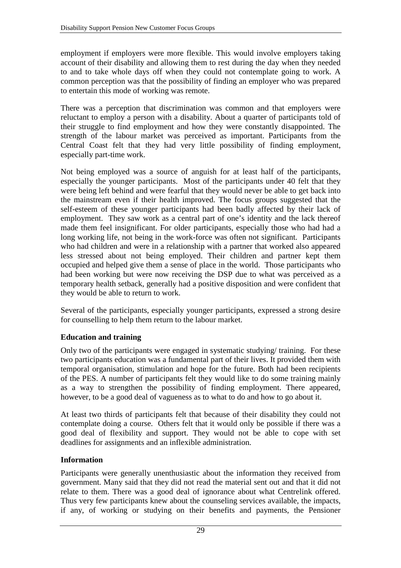employment if employers were more flexible. This would involve employers taking account of their disability and allowing them to rest during the day when they needed to and to take whole days off when they could not contemplate going to work. A common perception was that the possibility of finding an employer who was prepared to entertain this mode of working was remote.

There was a perception that discrimination was common and that employers were reluctant to employ a person with a disability. About a quarter of participants told of their struggle to find employment and how they were constantly disappointed. The strength of the labour market was perceived as important. Participants from the Central Coast felt that they had very little possibility of finding employment, especially part-time work.

Not being employed was a source of anguish for at least half of the participants, especially the younger participants. Most of the participants under 40 felt that they were being left behind and were fearful that they would never be able to get back into the mainstream even if their health improved. The focus groups suggested that the self-esteem of these younger participants had been badly affected by their lack of employment. They saw work as a central part of one's identity and the lack thereof made them feel insignificant. For older participants, especially those who had had a long working life, not being in the work-force was often not significant. Participants who had children and were in a relationship with a partner that worked also appeared less stressed about not being employed. Their children and partner kept them occupied and helped give them a sense of place in the world. Those participants who had been working but were now receiving the DSP due to what was perceived as a temporary health setback, generally had a positive disposition and were confident that they would be able to return to work.

Several of the participants, especially younger participants, expressed a strong desire for counselling to help them return to the labour market.

#### **Education and training**

Only two of the participants were engaged in systematic studying/ training. For these two participants education was a fundamental part of their lives. It provided them with temporal organisation, stimulation and hope for the future. Both had been recipients of the PES. A number of participants felt they would like to do some training mainly as a way to strengthen the possibility of finding employment. There appeared, however, to be a good deal of vagueness as to what to do and how to go about it.

At least two thirds of participants felt that because of their disability they could not contemplate doing a course. Others felt that it would only be possible if there was a good deal of flexibility and support. They would not be able to cope with set deadlines for assignments and an inflexible administration.

#### **Information**

Participants were generally unenthusiastic about the information they received from government. Many said that they did not read the material sent out and that it did not relate to them. There was a good deal of ignorance about what Centrelink offered. Thus very few participants knew about the counseling services available, the impacts, if any, of working or studying on their benefits and payments, the Pensioner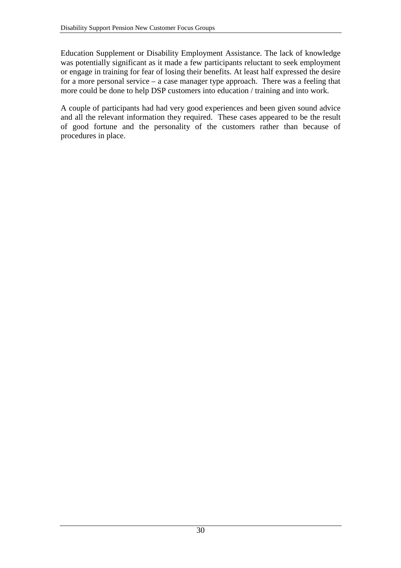Education Supplement or Disability Employment Assistance. The lack of knowledge was potentially significant as it made a few participants reluctant to seek employment or engage in training for fear of losing their benefits. At least half expressed the desire for a more personal service – a case manager type approach. There was a feeling that more could be done to help DSP customers into education / training and into work.

A couple of participants had had very good experiences and been given sound advice and all the relevant information they required. These cases appeared to be the result of good fortune and the personality of the customers rather than because of procedures in place.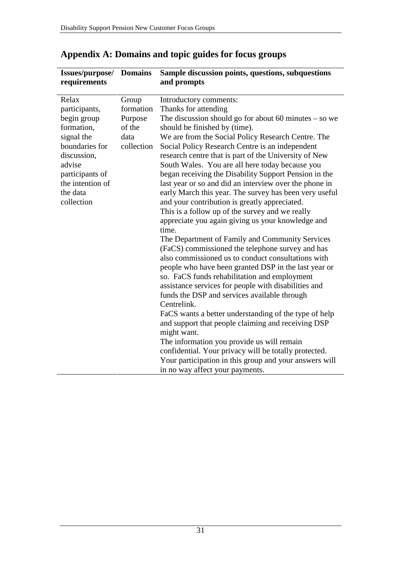**Issues/purpose/** 

| requirements     |            | and prompts                                             |
|------------------|------------|---------------------------------------------------------|
| Relax            | Group      | Introductory comments:                                  |
| participants,    | formation  | Thanks for attending                                    |
| begin group      | Purpose    | The discussion should go for about 60 minutes $-$ so we |
| formation,       | of the     | should be finished by (time).                           |
| signal the       | data       | We are from the Social Policy Research Centre. The      |
| boundaries for   | collection | Social Policy Research Centre is an independent         |
| discussion,      |            | research centre that is part of the University of New   |
| advise           |            | South Wales. You are all here today because you         |
| participants of  |            | began receiving the Disability Support Pension in the   |
| the intention of |            | last year or so and did an interview over the phone in  |
| the data         |            | early March this year. The survey has been very useful  |
| collection       |            | and your contribution is greatly appreciated.           |
|                  |            | This is a follow up of the survey and we really         |
|                  |            | appreciate you again giving us your knowledge and       |
|                  |            | time.                                                   |
|                  |            | The Department of Family and Community Services         |
|                  |            | (FaCS) commissioned the telephone survey and has        |
|                  |            | also commissioned us to conduct consultations with      |
|                  |            | people who have been granted DSP in the last year or    |
|                  |            | so. FaCS funds rehabilitation and employment            |
|                  |            | assistance services for people with disabilities and    |
|                  |            | funds the DSP and services available through            |
|                  |            | Centrelink.                                             |
|                  |            | FaCS wants a better understanding of the type of help   |
|                  |            | and support that people claiming and receiving DSP      |
|                  |            | might want.                                             |
|                  |            | The information you provide us will remain              |
|                  |            | confidential. Your privacy will be totally protected.   |
|                  |            | Your participation in this group and your answers will  |
|                  |            | in no way affect your payments.                         |

## **Appendix A: Domains and topic guides for focus groups**

**Domains Sample discussion points, questions, subquestions**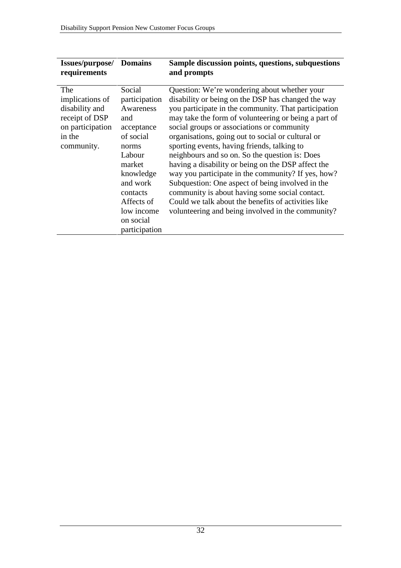| Issues/purpose/<br>requirements                                                                        | <b>Domains</b>                                                                                                                                                                                     | Sample discussion points, questions, subquestions<br>and prompts                                                                                                                                                                                                                                                                                                                                                                                                                                                                                                                                                                                                                                                                                     |
|--------------------------------------------------------------------------------------------------------|----------------------------------------------------------------------------------------------------------------------------------------------------------------------------------------------------|------------------------------------------------------------------------------------------------------------------------------------------------------------------------------------------------------------------------------------------------------------------------------------------------------------------------------------------------------------------------------------------------------------------------------------------------------------------------------------------------------------------------------------------------------------------------------------------------------------------------------------------------------------------------------------------------------------------------------------------------------|
| The<br>implications of<br>disability and<br>receipt of DSP<br>on participation<br>in the<br>community. | Social<br>participation<br>Awareness<br>and<br>acceptance<br>of social<br>norms<br>Labour<br>market<br>knowledge<br>and work<br>contacts<br>Affects of<br>low income<br>on social<br>participation | Question: We're wondering about whether your<br>disability or being on the DSP has changed the way<br>you participate in the community. That participation<br>may take the form of volunteering or being a part of<br>social groups or associations or community<br>organisations, going out to social or cultural or<br>sporting events, having friends, talking to<br>neighbours and so on. So the question is: Does<br>having a disability or being on the DSP affect the<br>way you participate in the community? If yes, how?<br>Subquestion: One aspect of being involved in the<br>community is about having some social contact.<br>Could we talk about the benefits of activities like<br>volunteering and being involved in the community? |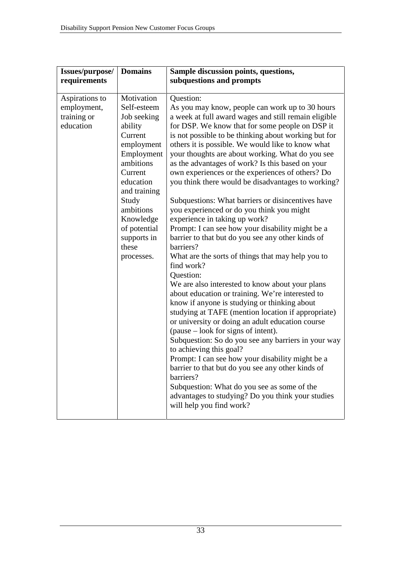| Issues/purpose/<br>requirements                           | <b>Domains</b>                                                                                                                                                                                                                           | Sample discussion points, questions,<br>subquestions and prompts                                                                                                                                                                                                                                                                                                                                                                                                                                                                                                                                                                                                                                                                                                                                                                                                                                                                                                                                                                                                                                                                                                                                                                                                                                                                                                                                                                                                                                |
|-----------------------------------------------------------|------------------------------------------------------------------------------------------------------------------------------------------------------------------------------------------------------------------------------------------|-------------------------------------------------------------------------------------------------------------------------------------------------------------------------------------------------------------------------------------------------------------------------------------------------------------------------------------------------------------------------------------------------------------------------------------------------------------------------------------------------------------------------------------------------------------------------------------------------------------------------------------------------------------------------------------------------------------------------------------------------------------------------------------------------------------------------------------------------------------------------------------------------------------------------------------------------------------------------------------------------------------------------------------------------------------------------------------------------------------------------------------------------------------------------------------------------------------------------------------------------------------------------------------------------------------------------------------------------------------------------------------------------------------------------------------------------------------------------------------------------|
| Aspirations to<br>employment,<br>training or<br>education | Motivation<br>Self-esteem<br>Job seeking<br>ability<br>Current<br>employment<br>Employment<br>ambitions<br>Current<br>education<br>and training<br>Study<br>ambitions<br>Knowledge<br>of potential<br>supports in<br>these<br>processes. | Question:<br>As you may know, people can work up to 30 hours<br>a week at full award wages and still remain eligible<br>for DSP. We know that for some people on DSP it<br>is not possible to be thinking about working but for<br>others it is possible. We would like to know what<br>your thoughts are about working. What do you see<br>as the advantages of work? Is this based on your<br>own experiences or the experiences of others? Do<br>you think there would be disadvantages to working?<br>Subquestions: What barriers or disincentives have<br>you experienced or do you think you might<br>experience in taking up work?<br>Prompt: I can see how your disability might be a<br>barrier to that but do you see any other kinds of<br>barriers?<br>What are the sorts of things that may help you to<br>find work?<br>Question:<br>We are also interested to know about your plans<br>about education or training. We're interested to<br>know if anyone is studying or thinking about<br>studying at TAFE (mention location if appropriate)<br>or university or doing an adult education course<br>(pause – look for signs of intent).<br>Subquestion: So do you see any barriers in your way<br>to achieving this goal?<br>Prompt: I can see how your disability might be a<br>barrier to that but do you see any other kinds of<br>barriers?<br>Subquestion: What do you see as some of the<br>advantages to studying? Do you think your studies<br>will help you find work? |